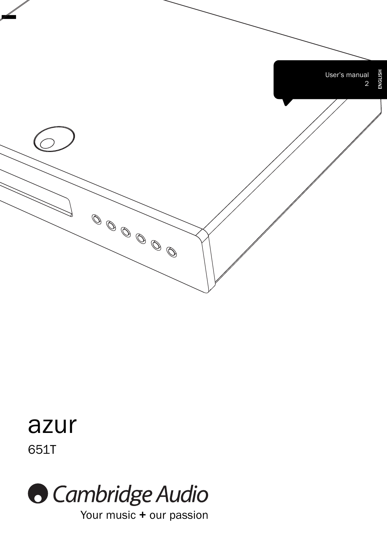

# 651T azur



Your music + our passion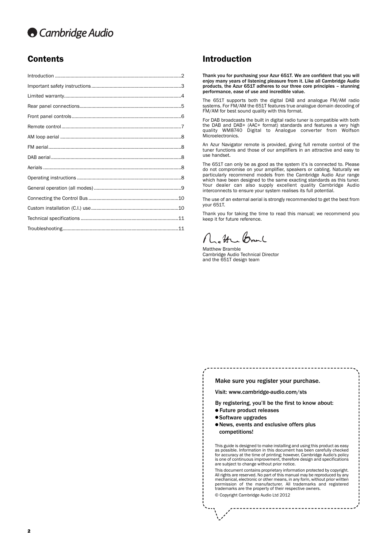# **Cambridge Audio**

# **Contents Contents Introduction**

Thank you for purchasing your Azur 651T. We are confident that you will enjoy many years of listening pleasure from it. Like all Cambridge Audio products, the Azur 651T adheres to our three core principles – stunning performance, ease of use and incredible value.

The 651T supports both the digital DAB and analogue FM/AM radio systems. For FM/AM the 651T features true analogue domain decoding of FM/AM for best sound quality with this format.

For DAB broadcasts the built in digital radio tuner is compatible with both the DAB and DAB+ (AAC+ format) standards and features a very high quality WM8740 Digital to Analogue converter from Wolfson Microelectronics.

An Azur Navigator remote is provided, giving full remote control of the tuner functions and those of our amplifiers in an attractive and easy to use handset.

The 651T can only be as good as the system it's is connected to. Please do not compromise on your amplifier, speakers or cabling. Naturally we particularly recommend models from the Cambridge Audio Azur range which have been designed to the same exacting standards as this tuner. Your dealer can also supply excellent quality Cambridge Audio interconnects to ensure your system realises its full potential.

The use of an external aerial is strongly recommended to get the best from your 651T.

Thank you for taking the time to read this manual; we recommend you keep it for future reference.

 $\mathcal{H}$ Prant

Matthew Bramble Cambridge Audio Technical Director and the 651T design team

| Make sure you register your purchase. |  |
|---------------------------------------|--|
|---------------------------------------|--|

Visit: www.cambridge-audio.com/sts

By registering, you'll be the first to know about:

- **Future product releases**
- Software upgrades
- $\bullet$  News, events and exclusive offers plus competitions!

This guide is designed to make installing and using this product as easy as possible. Information in this document has been carefully checked for accuracy at the time of printing; however, Cambridge Audio's policy is one of continuous improvement, therefore design and specifications are subject to change without prior notice.

This document contains proprietary information protected by copyright. All rights are reserved. No part of this manual may be reproduced by any mechanical, electronic or other means, in any form, without prior written permission of the manufacturer. All trademarks and registered trademarks are the property of their respective owners.

© Copyright Cambridge Audio Ltd 2012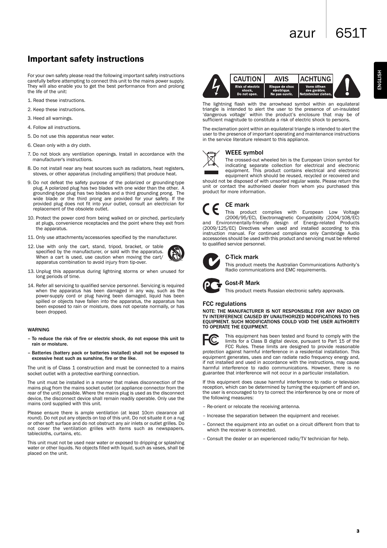ENGLISH

# Important safety instructions

For your own safety please read the following important safety instructions carefully before attempting to connect this unit to the mains power supply. They will also enable you to get the best performance from and prolong the life of the unit:

- 1. Read these instructions.
- 2. Keep these instructions.
- 3. Heed all warnings.
- 4. Follow all instructions.
- 5. Do not use this apparatus near water.
- 6. Clean only with a dry cloth.
- 7. Do not block any ventilation openings. Install in accordance with the manufacturer's instructions.
- 8. Do not install near any heat sources such as radiators, heat registers, stoves, or other apparatus (including amplifiers) that produce heat.
- 9. Do not defeat the safety purpose of the polarized or grounding-type plug. A polarized plug has two blades with one wider than the other. A grounding-type plug has two blades and a third grounding prong. The wide blade or the third prong are provided for your safety. If the provided plug does not fit into your outlet, consult an electrician for replacement of the obsolete outlet.
- 10. Protect the power cord from being walked on or pinched, particularly at plugs, convenience receptacles and the point where they exit from the apparatus.
- 11. Only use attachments/accessories specified by the manufacturer.
- 12. Use with only the cart, stand, tripod, bracket, or table specified by the manufacturer, or sold with the apparatus. When a cart is used, use caution when moving the cart/ apparatus combination to avoid injury from tip-over.
- 13. Unplug this apparatus during lightning storms or when unused for long periods of time.
- 14. Refer all servicing to qualified service personnel. Servicing is required when the apparatus has been damaged in any way, such as the power-supply cord or plug having been damaged, liquid has been spilled or objects have fallen into the apparatus, the apparatus has been exposed to rain or moisture, does not operate normally, or has been dropped.

#### **WARNING**

- To reduce the risk of fire or electric shock, do not expose this unit to rain or moisture.
- Batteries (battery pack or batteries installed) shall not be exposed to excessive heat such as sunshine, fire or the like.

The unit is of Class 1 construction and must be connected to a mains socket outlet with a protective earthing connection.

The unit must be installed in a manner that makes disconnection of the mains plug from the mains socket outlet (or appliance connector from the rear of the unit) possible. Where the mains plug is used as the disconnect device, the disconnect device shall remain readily operable. Only use the mains cord supplied with this unit.

Please ensure there is ample ventilation (at least 10cm clearance all round). Do not put any objects on top of this unit. Do not situate it on a rug or other soft surface and do not obstruct any air inlets or outlet grilles. Do not cover the ventilation grilles with items such as newspapers, tablecloths, curtains, etc.

This unit must not be used near water or exposed to dripping or splashing water or other liquids. No objects filled with liquid, such as vases, shall be placed on the unit.



The lightning flash with the arrowhead symbol within an equilateral triangle is intended to alert the user to the presence of un-insulated 'dangerous voltage' within the product's enclosure that may be of sufficient magnitude to constitute a risk of electric shock to persons.

The exclamation point within an equilateral triangle is intended to alert the user to the presence of important operating and maintenance instructions in the service literature relevant to this appliance.

# WEEE symbol

The crossed-out wheeled bin is the European Union symbol for indicating separate collection for electrical and electronic equipment. This product contains electrical and electronic equipment which should be reused, recycled or recovered and

should not be disposed of with unsorted regular waste. Please return the unit or contact the authorised dealer from whom you purchased this product for more information.

# CE mark

This product complies with European Low Voltage (2006/95/EC), Electromagnetic Compatibility (2004/108/EC) and Environmentally-friendly design of Energy-related Products (2009/125/EC) Directives when used and installed according to this instruction manual. For continued compliance only Cambridge Audio accessories should be used with this product and servicing must be referred to qualified service personnel.



## C-Tick mark

This product meets the Australian Communications Authority's Radio communications and EMC requirements.

# Gost-R Mark

This product meets Russian electronic safety approvals.

## FCC regulations

NOTE: THE MANUFACTURER IS NOT RESPONSIBLE FOR ANY RADIO OR TV INTERFERENCE CAUSED BY UNAUTHORIZED MODIFICATIONS TO THIS EQUIPMENT. SUCH MODIFICATIONS COULD VOID THE USER AUTHORITY TO OPERATE THE EQUIPMENT.



This equipment has been tested and found to comply with the limits for a Class B digital device, pursuant to Part 15 of the

FCC Rules. These limits are designed to provide reasonable protection against harmful interference in a residential installation. This equipment generates, uses and can radiate radio frequency energy and, if not installed and used in accordance with the instructions, may cause harmful interference to radio communications. However, there is no guarantee that interference will not occur in a particular installation.

If this equipment does cause harmful interference to radio or television reception, which can be determined by turning the equipment off and on, the user is encouraged to try to correct the interference by one or more of the following measures:

- Re-orient or relocate the receiving antenna.
- Increase the separation between the equipment and receiver.
- Connect the equipment into an outlet on a circuit different from that to which the receiver is connected.
- Consult the dealer or an experienced radio/TV technician for help.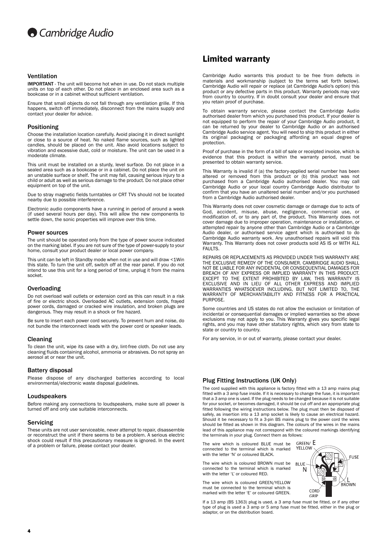#### Ventilation

IMPORTANT - The unit will become hot when in use. Do not stack multiple units on top of each other. Do not place in an enclosed area such as a bookcase or in a cabinet without sufficient ventilation.

Ensure that small objects do not fall through any ventilation grille. If this happens, switch off immediately, disconnect from the mains supply and contact your dealer for advice.

#### Positioning

Choose the installation location carefully. Avoid placing it in direct sunlight or close to a source of heat. No naked flame sources, such as lighted candles, should be placed on the unit. Also avoid locations subject to vibration and excessive dust, cold or moisture. The unit can be used in a moderate climate.

This unit must be installed on a sturdy, level surface. Do not place in a sealed area such as a bookcase or in a cabinet. Do not place the unit on an unstable surface or shelf. The unit may fall, causing serious injury to a child or adult as well as serious damage to the product. Do not place other equipment on top of the unit.

Due to stray magnetic fields turntables or CRT TVs should not be located nearby due to possible interference.

Electronic audio components have a running in period of around a week (if used several hours per day). This will allow the new components to settle down, the sonic properties will improve over this time.

#### Power sources

The unit should be operated only from the type of power source indicated on the marking label. If you are not sure of the type of power-supply to your home, consult your product dealer or local power company.

This unit can be left in Standby mode when not in use and will draw <1Win this state. To turn the unit off, switch off at the rear panel. If you do not intend to use this unit for a long period of time, unplug it from the mains socket.

#### **Overloading**

Do not overload wall outlets or extension cord as this can result in a risk of fire or electric shock. Overloaded AC outlets, extension cords, frayed power cords, damaged or cracked wire insulation, and broken plugs are dangerous. They may result in a shock or fire hazard.

Be sure to insert each power cord securely. To prevent hum and noise, do not bundle the interconnect leads with the power cord or speaker leads.

#### Cleaning

To clean the unit, wipe its case with a dry, lint-free cloth. Do not use any cleaning fluids containing alcohol, ammonia or abrasives. Do not spray an aerosol at or near the unit.

#### Battery disposal

Please dispose of any discharged batteries according to local environmental/electronic waste disposal guidelines.

#### Loudspeakers

Before making any connections to loudspeakers, make sure all power is turned off and only use suitable interconnects.

#### Servicing

These units are not user serviceable, never attempt to repair, disassemble or reconstruct the unit if there seems to be a problem. A serious electric shock could result if this precautionary measure is ignored. In the event of a problem or failure, please contact your dealer.

# Limited warranty

Cambridge Audio warrants this product to be free from defects in materials and workmanship (subject to the terms set forth below). Cambridge Audio will repair or replace (at Cambridge Audio's option) this product or any defective parts in this product. Warranty periods may vary from country to country. If in doubt consult your dealer and ensure that you retain proof of purchase.

To obtain warranty service, please contact the Cambridge Audio authorised dealer from which you purchased this product. If your dealer is not equipped to perform the repair of your Cambridge Audio product, it can be returned by your dealer to Cambridge Audio or an authorised Cambridge Audio service agent. You will need to ship this product in either its original packaging or packaging affording an equal degree of protection.

Proof of purchase in the form of a bill of sale or receipted invoice, which is evidence that this product is within the warranty period, must be presented to obtain warranty service.

This Warranty is invalid if (a) the factory-applied serial number has been altered or removed from this product or (b) this product was not purchased from a Cambridge Audio authorised dealer. You may call Cambridge Audio or your local country Cambridge Audio distributor to confirm that you have an unaltered serial number and/or you purchased from a Cambridge Audio authorised dealer.

This Warranty does not cover cosmetic damage or damage due to acts of God, accident, misuse, abuse, negligence, commercial use, or modification of, or to any part of, the product. This Warranty does not cover damage due to improper operation, maintenance or installation, or attempted repair by anyone other than Cambridge Audio or a Cambridge Audio dealer, or authorised service agent which is authorised to do Cambridge Audio warranty work. Any unauthorised repairs will void this Warranty. This Warranty does not cover products sold AS IS or WITH ALL **FAULTS** 

REPAIRS OR REPLACEMENTS AS PROVIDED UNDER THIS WARRANTY ARE THE EXCLUSIVE REMEDY OF THE CONSUMER. CAMBRIDGE AUDIO SHALL NOT BE LIABLE FOR ANY INCIDENTAL OR CONSEQUENTIAL DAMAGES FOR BREACH OF ANY EXPRESS OR IMPLIED WARRANTY IN THIS PRODUCT. EXCEPT TO THE EXTENT PROHIBITED BY LAW, THIS WARRANTY IS EXCLUSIVE AND IN LIEU OF ALL OTHER EXPRESS AND IMPLIED WARRANTIES WHATSOEVER INCLUDING, BUT NOT LIMITED TO, THE WARRANTY OF MERCHANTABILITY AND FITNESS FOR A PRACTICAL PURPOSE.

Some countries and US states do not allow the exclusion or limitation of incidental or consequential damages or implied warranties so the above exclusions may not apply to you. This Warranty gives you specific legal rights, and you may have other statutory rights, which vary from state to state or country to country.

For any service, in or out of warranty, please contact your dealer.

#### Plug Fitting Instructions (UK Only)

The cord supplied with this appliance is factory fitted with a 13 amp mains plug fitted with a 3 amp fuse inside. If it is necessary to change the fuse, it is important that a 3 amp one is used. If the plug needs to be changed because it is not suitable for your socket, or becomes damaged, it should be cut off and an appropriate plug fitted following the wiring instructions below. The plug must then be disposed of safely, as insertion into a 13 amp socket is likely to cause an electrical hazard. Should it be necessary to fit a 3-pin BS mains plug to the power cord the wires should be fitted as shown in this diagram. The colours of the wires in the mains lead of this appliance may not correspond with the coloured markings identifying the terminals in your plug. Connect them as follows:

The wire which is coloured BLUE must be connected to the terminal which is marked with the letter 'N' or coloured BLACK.

The wire which is coloured BROWN must be connected to the terminal which is marked with the letter 'L' or coloured RED.

The wire which is coloured GREEN/YELLOW must be connected to the terminal which is marked with the letter 'E' or coloured GREEN.

If a 13 amp (BS 1363) plug is used, a 3 amp fuse must be fitted, or if any other type of plug is used a 3 amp or 5 amp fuse must be fitted, either in the plug or adaptor, or on the distribution board.

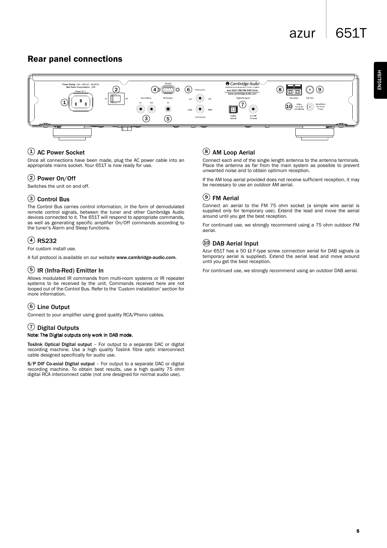# azur  $\sqrt{651}$

# Rear panel connections



# $1)$  AC Power Socket

Once all connections have been made, plug the AC power cable into an appropriate mains socket. Your 651T is now ready for use.

# 2) Power On/Off

Switches the unit on and off.

# Control Bus 3

The Control Bus carries control information, in the form of demodulated remote control signals, between the tuner and other Cambridge Audio devices connected to it. The 651T will respond to appropriate commands, as well as generating specific amplifier On/Off commands according to the tuner's Alarm and Sleep functions.

# RS232 4

For custom install use.

A full protocol is available on our website www.cambridge-audio.com.

# $5)$  IR (Infra-Red) Emitter In

Allows modulated IR commands from multi-room systems or IR repeater systems to be received by the unit. Commands received here are not looped out of the Control Bus. Refer to the 'Custom installation' section for more information.

# Line Output 6

Connect to your amplifier using good quality RCA/Phono cables.

# $\mathcal{D}% _{k}(G)$  Digital Outputs

# Note: The Digital outputs only work in DAB mode.

Toslink Optical Digital output - For output to a separate DAC or digital recording machine. Use a high quality Toslink fibre optic interconnect cable designed specifically for audio use.

S/P DIF Co-axial Digital output – For output to a separate DAC or digital recording machine. To obtain best results, use a high quality 75 ohm digital RCA interconnect cable (not one designed for normal audio use).

# 8) AM Loop Aerial

Connect each end of the single length antenna to the antenna terminals. Place the antenna as far from the main system as possible to prevent unwanted noise and to obtain optimum reception.

If the AM loop aerial provided does not receive sufficient reception, it may be necessary to use an outdoor AM aerial.

# $9)$  FM Aerial

Connect an aerial to the FM 75 ohm socket (a simple wire aerial is supplied only for temporary use). Extend the lead and move the aerial around until you get the best reception.

For continued use, we strongly recommend using a 75 ohm outdoor FM aerial.

# 10 DAB Aerial Input

Azur 651T has a 50  $\Omega$  F-type screw connection aerial for DAB signals (a temporary aerial is supplied). Extend the aerial lead and move around until you get the best reception.

For continued use, we strongly recommend using an outdoor DAB aerial.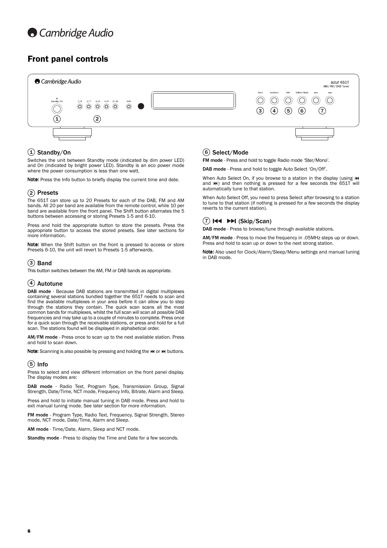

# Front panel controls



# 1) Standby/On

Switches the unit between Standby mode (indicated by dim power LED) and On (indicated by bright power LED). Standby is an eco power mode where the power consumption is less than one watt.

Note: Press the Info button to briefly display the current time and date.

## 2) Presets

The 651T can store up to 20 Presets for each of the DAB, FM and AM bands. All 20 per band are available from the remote control, while 10 per band are available from the front panel. The Shift button alternates the 5 buttons between accessing or storing Presets 1-5 and 6-10.

Press and hold the appropriate button to store the presets. Press the appropriate button to access the stored presets. See later sections for more information.

Note: When the Shift button on the front is pressed to access or store Presets 6-10, the unit will revert to Presets 1-5 afterwards.

# 3) Band

This button switches between the AM, FM or DAB bands as appropriate.

## $4)$  Autotune

DAB mode - Because DAB stations are transmitted in digital multiplexes containing several stations bundled together the 651T needs to scan and find the available multiplexes in your area before it can allow you to step through the stations they contain. The quick scan scans all the most common bands for multiplexes, whilst the full scan will scan all possible DAB frequencies and may take up to a couple of minutes to complete. Press once for a quick scan through the receivable stations, or press and hold for a full scan. The stations found will be displayed in alphabetical order.

AM/FM mode - Press once to scan up to the next available station. Press and hold to scan down.

Note: Scanning is also possible by pressing and holding the  $\sf Id$  or  $\sf Id$  buttons.

# 5) Info

Press to select and view different information on the front panel display. The display modes are:

DAB mode - Radio Text, Program Type, Transmission Group, Signal Strength, Date/Time, NCT mode, Frequency Info, Bitrate, Alarm and Sleep.

Press and hold to initiate manual tuning in DAB mode. Press and hold to exit manual tuning mode. See later section for more information.

FM mode - Program Type, Radio Text, Frequency, Signal Strength, Stereo mode, NCT mode, Date/Time, Alarm and Sleep.

AM mode - Time/Date, Alarm, Sleep and NCT mode.

Standby mode - Press to display the Time and Date for a few seconds.

# 6) Select/Mode

FM mode - Press and hold to toggle Radio mode 'Ster/Mono'.

DAB mode - Press and hold to toggle Auto Select 'On/Off'.

When Auto Select On, if you browse to a station in the display (using K and  $M$ ) and then nothing is pressed for a few seconds the  $651T$  will automatically tune to that station.

When Auto Select Off, you need to press Select after browsing to a station to tune to that station (if nothing is pressed for a few seconds the display reverts to the current station).

# 7) **EEE** EEE (Skip/Scan)

DAB mode - Press to browse/tune through available stations.

AM/FM mode - Press to move the frequency in .05MHz steps up or down. Press and hold to scan up or down to the next strong station.

Note: Also used for Clock/Alarm/Sleep/Menu settings and manual tuning in DAB mode.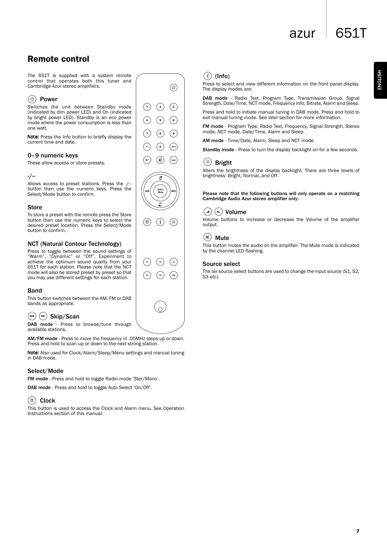azur 651T

# Remote control

The 651T is supplied with a system remote control that operates both this tuner and Cambridge Azur stereo amplifiers.

# $(\circ)$  Power

Switches the unit between Standby mode (indicated by dim power LED) and On (indicated by bright power LED). Standby is an eco power mode where the power consumption is less than one watt.

Note: Press the Info button to briefly display the current time and date.

# 0–9 numeric keys

These allow access or store presets.

#### -/--

Allows access to preset stations. Press the -/- button then use the numeric keys. Press the Select/Mode button to confirm.

## **Store**

To store a preset with the remote press the Store button then use the numeric keys to select the desired preset location. Press the Select/Mode button to confirm.

# NCT (Natural Contour Technology)

Press to toggle between the sound settings of "Warm", "Dynamic" or "Off". Experiment to achieve the optimum sound quality from your 651T for each station. Please note that the NCT mode will also be stored preset by preset so that you may use different settings for each station.

## **Band**

This button switches between the AM, FM or DAB bands as appropriate.

# $(\biguplus (\rightarrowtail)$  Skip/Scan

DAB mode - Press to browse/tune through available stations.

AM/FM mode - Press to move the frequency in .05MHz steps up or down. Press and hold to scan up or down to the next strong station.

Note: Also used for Clock/Alarm/Sleep/Menu settings and manual tuning in DAB mode.

# Select/Mode

FM mode - Press and hold to toggle Radio mode 'Ster/Mono'.

DAB mode - Press and hold to toggle Auto Select 'On/Off'.

# $\circledcirc$  Clock

This button is used to access the Clock and Alarm menu. See Operation Instructions section of this manual.









# $(i)$  (Info)

Press to select and view different information on the front panel display. The display modes are:

DAB mode - Radio Text, Program Type, Transmission Group, Signal Strength, Date/Time, NCT mode, Frequency Info, Bitrate, Alarm and Sleep.

Press and hold to initiate manual tuning in DAB mode. Press and hold to exit manual tuning mode. See later section for more information.

FM mode - Program Type, Radio Text, Frequency, Signal Strength, Stereo mode, NCT mode, Date/Time, Alarm and Sleep.

AM mode - Time/Date, Alarm, Sleep and NCT mode.

Standby mode - Press to turn the display backlight on for a few seconds.

# $(*)$  Bright

Alters the brightness of the display backlight. There are three levels of brightness: Bright, Normal, and Off.

Please note that the following buttons will only operate on a matching Cambridge Audio Azur stereo amplifier only:



Volume buttons to increase or decrease the Volume of the amplifier output.

# $(M)$  Mute

This button mutes the audio on the amplifier. The Mute mode is indicated by the channel LED flashing.

## Source select

The six source select buttons are used to change the input source (S1, S2, S3 etc).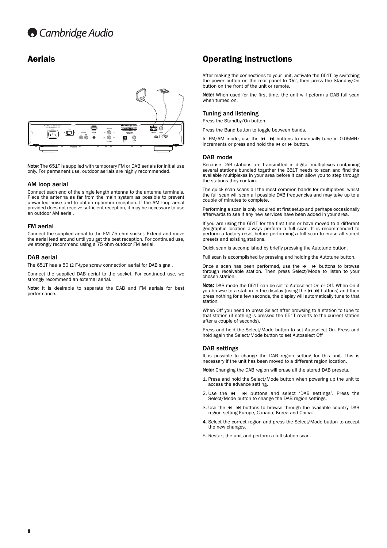

Note: The 651T is supplied with temporary FM or DAB aerials for initial use only. For permanent use, outdoor aerials are highly recommended.

#### AM loop aerial

Connect each end of the single length antenna to the antenna terminals. Place the antenna as far from the main system as possible to prevent unwanted noise and to obtain optimum reception. If the AM loop aerial provided does not receive sufficient reception, it may be necessary to use an outdoor AM aerial.

#### FM aerial

Connect the supplied aerial to the FM 75 ohm socket. Extend and move the aerial lead around until you get the best reception. For continued use, we strongly recommend using a 75 ohm outdoor FM aerial.

#### DAB aerial

The 651T has a 50  $\Omega$  F-type screw connection aerial for DAB signal.

Connect the supplied DAB aerial to the socket. For continued use, we strongly recommend an external aerial.

Note: It is desirable to separate the DAB and FM aerials for best performance.

# Aerials **Automatic Contract Contract Contract Contract Contract Contract Contract Contract Contract Contract Contract Contract Contract Contract Contract Contract Contract Contract Contract Contract Contract Contract Contr**

After making the connections to your unit, activate the 651T by switching the power button on the rear panel to 'On', then press the Standby/On button on the front of the unit or remote.

Note: When used for the first time, the unit will peform a DAB full scan when turned on.

#### Tuning and listening

Press the Standby/On button.

Press the Band button to toggle between bands.

In FM/AM mode, use the  $\textsf{M}\blacktriangleright\textsf{M}$  buttons to manually tune in 0.05MHz increments or press and hold the  $H$  or  $H$  button.

#### DAB mode

Because DAB stations are transmitted in digital multiplexes containing several stations bundled together the 651T needs to scan and find the available multiplexes in your area before it can allow you to step through the stations they contain.

The quick scan scans all the most common bands for multiplexes, whilst the full scan will scan all possible DAB frequencies and may take up to a couple of minutes to complete.

Performing a scan is only required at first setup and perhaps occasionally afterwards to see if any new services have been added in your area.

If you are using the 651T for the first time or have moved to a different geographic location always perform a full scan. It is recommended to perform a factory reset before performing a full scan to erase all stored presets and existing stations.

Quick scan is accomplished by briefly pressing the Autotune button.

Full scan is accomplished by pressing and holding the Autotune button.

Once a scan has been performed, use the  $\mathsf{H}$   $\mathsf{H}$  buttons to browse through receivable station. Then press Select/Mode to listen to your chosen station.

Note: DAB mode the 651T can be set to Autoselect On or Off. When On if you browse to a station in the display (using the  $\sf M$   $\sf M$  buttons) and then press nothing for a few seconds, the display will automatically tune to that station.

When Off you need to press Select after browsing to a station to tune to that station (if nothing is pressed the 651T reverts to the current station after a couple of seconds).

Press and hold the Select/Mode button to set Autoselect On. Press and hold again the Select/Mode button to set Autoselect Off

#### DAB settings

It is possible to change the DAB region setting for this unit. This is necessary if the unit has been moved to a different region location.

Note: Changing the DAB region will erase all the stored DAB presets.

- 1. Press and hold the Select/Mode button when powering up the unit to access the advance setting.
- 2. Use the  $\overline{M}$   $\overline{M}$  buttons and select 'DAB settings'. Press the Select/Mode button to change the DAB region settings.
- 3. Use the  $\mathsf{M}$   $\mathsf{M}$  buttons to browse through the available country DAB region setting Europe, Canada, Korea and China.
- 4. Select the correct region and press the Select/Mode button to accept the new changes.
- 5. Restart the unit and perform a full station scan.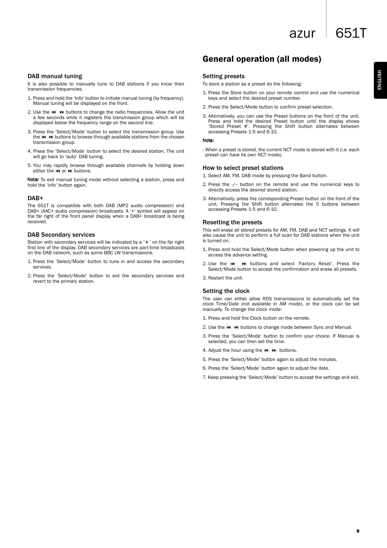azur 651T

ENGLISH

#### DAB manual tuning

It is also possible to manually tune to DAB stations if you know their transmission frequencies.

- 1. Press and hold the 'Info' button to initiate manual tuning (by frequency). Manual tuning will be displayed on the front.
- 2. Use the  $\mathsf{H}$   $\mathsf{H}$  buttons to change the radio frequencies. Allow the unit a few seconds while it registers the transmission group which will be displayed below the frequency range on the second line.
- 3. Press the 'Select/Mode' button to select the transmission group. Use the  $\overline{M}$   $\overline{M}$  buttons to browse through available stations from the chosen transmission group.
- 4. Press the 'Select/Mode' button to select the desired station. The unit will go back to 'auto' DAB tuning.
- 5. You may rapidly browse through available channels by holding down either the **KK** or **b)** buttons.

Note: To exit manual tuning mode without selecting a station, press and hold the 'info' button again.

#### DAB+

The 651T is compatible with both DAB (MP2 audio compression) and DAB+ (AAC+ audio compression) broadcasts. A '+' symbol will appear on the far right of the front panel display when a DAB+ broadcast is being received.

#### DAB Secondary services

Station with secondary services will be indicated by a ' $\blacktriangleright$  ' on the far right first line of the display. DAB secondary services are part-time broadcasts on the DAB network, such as some BBC LW transmissions.

- 1. Press the 'Select/Mode' button to tune in and access the secondary services.
- 2. Press the 'Select/Mode' button to exit the secondary services and revert to the primary station.

# General operation (all modes)

#### Setting presets

To store a station as a preset do the following:

- 1. Press the Store button on your remote control and use the numerical keys and select the desired preset number.
- 2. Press the Select/Mode button to confirm preset selection.
- 3. Alternatively, you can use the Preset buttons on the front of the unit. Press and hold the desired Preset button until the display shows 'Stored Preset #'. Pressing the Shift button alternates between accessing Presets 1-5 and 6-10.

#### Note:

- When a preset is stored, the current NCT mode is stored with it (i.e. each preset can have its own NCT mode).

#### How to select preset stations

1. Select AM, FM, DAB mode by pressing the Band button.

- 2. Press the -/-- button on the remote and use the numerical keys to directly access the desired stored station.
- 3. Alternatively, press the corresponding Preset button on the front of the unit. Pressing the Shift button alternates the 5 buttons between accessing Presets 1-5 and 6-10.

#### Resetting the presets

This will erase all stored presets for AM, FM, DAB and NCT settings. It will also cause the unit to perform a full scan for DAB stations when the unit is turned on.

- 1. Press and hold the Select/Mode button when powering up the unit to access the advance setting.
- 2. Use the  $\textsf{M}$   $\textsf{M}$  buttons and select 'Factory Reset'. Press the Select/Mode button to accept the confirmation and erase all presets.
- 3. Restart the unit.

#### Setting the clock

The user can either allow RDS transmissions to automatically set the clock Time/Date (not available in AM mode), or the clock can be set manually. To change the clock mode:

- 1. Press and hold the Clock button on the remote.
- 2. Use the  $\textsf{M}$   $\textsf{M}$  buttons to change mode between Sync and Manual.
- 3. Press the 'Select/Mode' button to confirm your choice. If Manual is selected, you can then set the time.
- 4. Adjust the hour using the  $H$   $H$  buttons.
- 5. Press the 'Select/Mode' button again to adjust the minutes.
- 6. Press the 'Select/Mode' button again to adjust the date.

7. Keep pressing the 'Select/Mode' button to accept the settings and exit.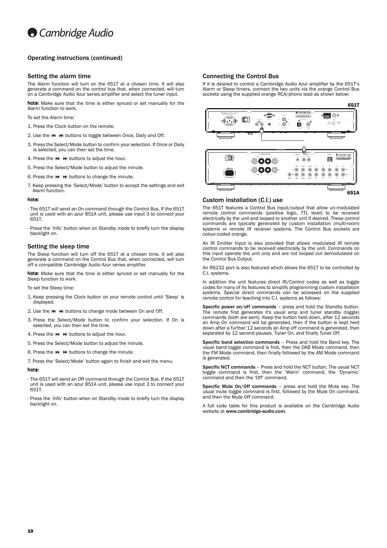

## Operating instructions (continued)

#### Setting the alarm time

The Alarm function will turn on the 651T at a chosen time. It will also generate a command on the control bus that, when connected, will turn on a Cambridge Audio Azur series amplifier and select the tuner input.

Note: Make sure that the time is either synced or set manually for the Alarm function to work.

To set the Alarm time:

- 1. Press the Clock button on the remote.
- 2. Use the  $\overline{M}$   $\overline{M}$  buttons to toggle between Once, Daily and Off.
- 3. Press the Select/Mode button to confirm your selection. If Once or Daily is selected, you can then set the time.
- 4. Press the  $H$   $\rightarrow$  M buttons to adjust the hour.
- 5. Press the Select/Mode button to adjust the minute.
- 6. Press the  $H$   $\rightarrow$  buttons to change the minute.
- 7. Keep pressing the 'Select/Mode' button to accept the settings and exit Alarm function.

#### Note

- The 651T will send an On command through the Control Bus. If the 651T unit is used with an azur 851A unit, please use input 3 to connect your 651T.
- Press the 'Info' button when on Standby mode to briefly turn the display backlight on.

#### Setting the sleep time

The Sleep function will turn off the 651T at a chosen time. It will also generate a command on the Control Bus that, when connected, will turn off a compatible Cambridge Audio Azur series amplifier.

Note: Make sure that the time is either synced or set manually for the Sleep function to work.

set the Sleep time:

- 1. Keep pressing the Clock button on your remote control until 'Sleep' is displayed.
- 2. Use the  $\overline{M}$   $\rightarrow$  buttons to change mode between On and Off.
- 3. Press the Select/Mode button to confirm your selection. If On is selected, you can then set the time.
- 4. Press the  $\textsf{M}$   $\textsf{M}$  buttons to adjust the hour.
- 5. Press the Select/Mode button to adjust the minute.
- 6. Press the  $\overline{M}$   $\overline{M}$  buttons to change the minute.
- 7. Press the 'Select/Mode' button again to finish and exit the menu.

#### Note:

- The 651T will send an Off command through the Control Bus. If the 651T unit is used with an azur 851A unit, please use input 3 to connect your 651T.
- Press the 'Info' button when on Standby mode to briefly turn the display backlight on.

#### Connecting the Control Bus

If it is desired to control a Cambridge Audio Azur amplifier by the 651T's Alarm or Sleep timers, connect the two units via the orange Control Bus sockets using the supplied orange RCA/phono lead as shown below:



#### Custom installation (C.I.) use

The 651T features a Control Bus input/output that allow un-modulated remote control commands (positive logic, TTL level) to be received electrically by the unit and looped to another unit if desired. These control commands are typically generated by custom installation (multi-room) systems or remote IR receiver systems. The Control Bus sockets are colour-coded orange.

An IR Emitter Input is also provided that allows modulated IR remote control commands to be received electrically by the unit. Commands on this input operate the unit only and are not looped out demodulated on the Control Bus Output.

An RS232 port is also featured which allows the 651T to be controlled by C.I. systems.

In addition the unit features direct IR/Control codes as well as toggle codes for many of its features to simplify programming custom installation systems. Special direct commands can be accessed on the supplied remote control for teaching into C.I. systems as follows:

Specific power on/off commands – press and hold the Standby button. The remote first generates it's usual amp and tuner standby (toggle) commands (both are sent). Keep the button held down, after 12 seconds an Amp On command will be generated, then if the button is kept held down after a further 12 seconds an Amp off command is generated, then separated by 12 second pauses, Tuner On, and finally Tuner Off.

Specific band selection commands – Press and hold the Band key. The usual band toggle command is first, then the DAB Mode command, then the FM Mode command, then finally followed by the AM Mode command is generated.

Specific NCT commands – Press and hold the NCT button. The usual NCT toggle command is first, then the 'Warm' command, the 'Dynamic' command and then the 'Off' command.

Specific Mute On/Off commands – press and hold the Mute key. The usual mute toggle command is first, followed by the Mute On command, and then the Mute Off command.

A full code table for this product is available on the Cambridge Audio website at www.cambridge-audio.com.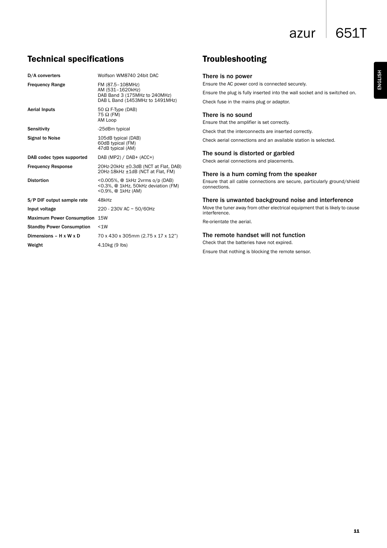azur  $\vert$  651T

# Technical specifications

| Wolfson WM8740 24bit DAC                                                                                 |
|----------------------------------------------------------------------------------------------------------|
| FM (87.5-108MHz)<br>AM (531-1620kHz)<br>DAB Band 3 (175MHz to 240MHz)<br>DAB L Band (1453MHz to 1491MHz) |
| 50 $\Omega$ F-Type (DAB)<br>75 $\Omega$ (FM)<br>AM Loop                                                  |
| -25dBm typical                                                                                           |
| 105dB typical (DAB)<br>60dB typical (FM)<br>47dB typical (AM)                                            |
| DAB (MP2) / DAB+ (ACC+)                                                                                  |
| 20Hz-20kHz ±0.3dB (NCT at Flat, DAB)<br>20Hz-18kHz ±1dB (NCT at Flat, FM)                                |
| <0.005%, @ 1kHz 2vrms o/p (DAB)<br><0.3%, @ 1kHz, 50kHz deviation (FM)<br><0.9%, @ 1kHz (AM)             |
| 48kHz                                                                                                    |
| 220 - 230V AC ~ 50/60Hz                                                                                  |
| <b>15W</b>                                                                                               |
| < 1W                                                                                                     |
| 70 x 430 x 305mm (2.75 x 17 x 12")                                                                       |
| $4.10$ kg (9 lbs)                                                                                        |
|                                                                                                          |

# Troubleshooting

# There is no power

Ensure the AC power cord is connected securely.

Ensure the plug is fully inserted into the wall socket and is switched on. Check fuse in the mains plug or adaptor.

# There is no sound

Ensure that the amplifier is set correctly.

Check that the interconnects are inserted correctly.

Check aerial connections and an available station is selected.

# The sound is distorted or garbled

Check aerial connections and placements.

# There is a hum coming from the speaker

Ensure that all cable connections are secure, particularly ground/shield connections.

# There is unwanted background noise and interference

Move the tuner away from other electrical equipment that is likely to cause interference.

Re-orientate the aerial.

# The remote handset will not function

Check that the batteries have not expired.

Ensure that nothing is blocking the remote sensor.